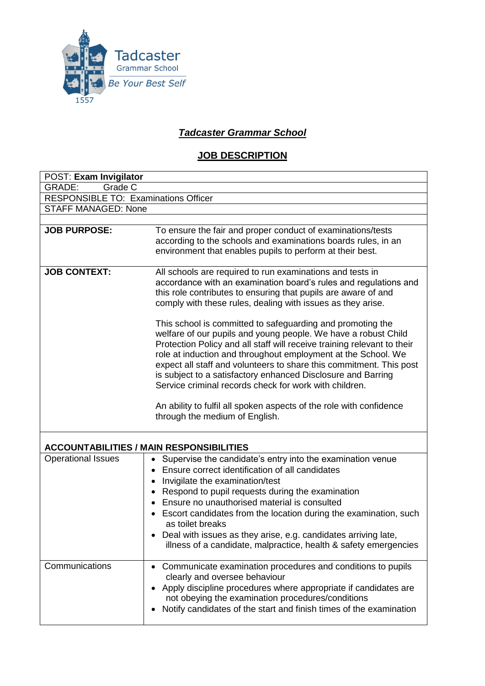

## *Tadcaster Grammar School*

## **JOB DESCRIPTION**

| POST: Exam Invigilator                          |                                                                                                                                                                                                                                                                                                                                                                                                                                                                                                                                                                                                                                                                                                                                                                                                                                                      |  |  |  |  |  |
|-------------------------------------------------|------------------------------------------------------------------------------------------------------------------------------------------------------------------------------------------------------------------------------------------------------------------------------------------------------------------------------------------------------------------------------------------------------------------------------------------------------------------------------------------------------------------------------------------------------------------------------------------------------------------------------------------------------------------------------------------------------------------------------------------------------------------------------------------------------------------------------------------------------|--|--|--|--|--|
| <b>GRADE:</b><br>Grade C                        |                                                                                                                                                                                                                                                                                                                                                                                                                                                                                                                                                                                                                                                                                                                                                                                                                                                      |  |  |  |  |  |
| <b>RESPONSIBLE TO: Examinations Officer</b>     |                                                                                                                                                                                                                                                                                                                                                                                                                                                                                                                                                                                                                                                                                                                                                                                                                                                      |  |  |  |  |  |
| <b>STAFF MANAGED: None</b>                      |                                                                                                                                                                                                                                                                                                                                                                                                                                                                                                                                                                                                                                                                                                                                                                                                                                                      |  |  |  |  |  |
|                                                 |                                                                                                                                                                                                                                                                                                                                                                                                                                                                                                                                                                                                                                                                                                                                                                                                                                                      |  |  |  |  |  |
| <b>JOB PURPOSE:</b>                             | To ensure the fair and proper conduct of examinations/tests<br>according to the schools and examinations boards rules, in an<br>environment that enables pupils to perform at their best.                                                                                                                                                                                                                                                                                                                                                                                                                                                                                                                                                                                                                                                            |  |  |  |  |  |
| <b>JOB CONTEXT:</b>                             | All schools are required to run examinations and tests in<br>accordance with an examination board's rules and regulations and<br>this role contributes to ensuring that pupils are aware of and<br>comply with these rules, dealing with issues as they arise.<br>This school is committed to safeguarding and promoting the<br>welfare of our pupils and young people. We have a robust Child<br>Protection Policy and all staff will receive training relevant to their<br>role at induction and throughout employment at the School. We<br>expect all staff and volunteers to share this commitment. This post<br>is subject to a satisfactory enhanced Disclosure and Barring<br>Service criminal records check for work with children.<br>An ability to fulfil all spoken aspects of the role with confidence<br>through the medium of English. |  |  |  |  |  |
| <b>ACCOUNTABILITIES / MAIN RESPONSIBILITIES</b> |                                                                                                                                                                                                                                                                                                                                                                                                                                                                                                                                                                                                                                                                                                                                                                                                                                                      |  |  |  |  |  |
| <b>Operational Issues</b>                       | Supervise the candidate's entry into the examination venue<br>$\bullet$<br>Ensure correct identification of all candidates<br>Invigilate the examination/test<br>Respond to pupil requests during the examination<br>Ensure no unauthorised material is consulted<br>Escort candidates from the location during the examination, such<br>as toilet breaks<br>Deal with issues as they arise, e.g. candidates arriving late,<br>illness of a candidate, malpractice, health & safety emergencies                                                                                                                                                                                                                                                                                                                                                      |  |  |  |  |  |
| Communications                                  | Communicate examination procedures and conditions to pupils<br>clearly and oversee behaviour<br>Apply discipline procedures where appropriate if candidates are<br>not obeying the examination procedures/conditions<br>Notify candidates of the start and finish times of the examination                                                                                                                                                                                                                                                                                                                                                                                                                                                                                                                                                           |  |  |  |  |  |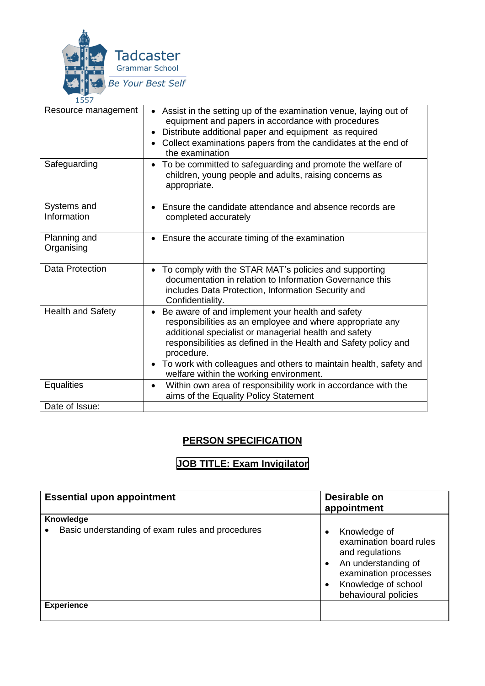

| Resource management        | Assist in the setting up of the examination venue, laying out of<br>equipment and papers in accordance with procedures<br>Distribute additional paper and equipment as required<br>Collect examinations papers from the candidates at the end of<br>the examination                                                                                                     |
|----------------------------|-------------------------------------------------------------------------------------------------------------------------------------------------------------------------------------------------------------------------------------------------------------------------------------------------------------------------------------------------------------------------|
| Safeguarding               | To be committed to safeguarding and promote the welfare of<br>children, young people and adults, raising concerns as<br>appropriate.                                                                                                                                                                                                                                    |
| Systems and<br>Information | • Ensure the candidate attendance and absence records are<br>completed accurately                                                                                                                                                                                                                                                                                       |
| Planning and<br>Organising | Ensure the accurate timing of the examination<br>$\bullet$                                                                                                                                                                                                                                                                                                              |
| <b>Data Protection</b>     | To comply with the STAR MAT's policies and supporting<br>documentation in relation to Information Governance this<br>includes Data Protection, Information Security and<br>Confidentiality.                                                                                                                                                                             |
| Health and Safety          | Be aware of and implement your health and safety<br>responsibilities as an employee and where appropriate any<br>additional specialist or managerial health and safety<br>responsibilities as defined in the Health and Safety policy and<br>procedure.<br>To work with colleagues and others to maintain health, safety and<br>welfare within the working environment. |
| <b>Equalities</b>          | Within own area of responsibility work in accordance with the<br>$\bullet$<br>aims of the Equality Policy Statement                                                                                                                                                                                                                                                     |
| Date of Issue:             |                                                                                                                                                                                                                                                                                                                                                                         |

## **PERSON SPECIFICATION**

## **JOB TITLE: Exam Invigilator**

| <b>Essential upon appointment</b>                             | Desirable on<br>appointment                                                                                                                                 |  |
|---------------------------------------------------------------|-------------------------------------------------------------------------------------------------------------------------------------------------------------|--|
| Knowledge<br>Basic understanding of exam rules and procedures | Knowledge of<br>examination board rules<br>and regulations<br>An understanding of<br>$\bullet$<br>examination processes<br>Knowledge of school<br>$\bullet$ |  |
| <b>Experience</b>                                             | behavioural policies                                                                                                                                        |  |